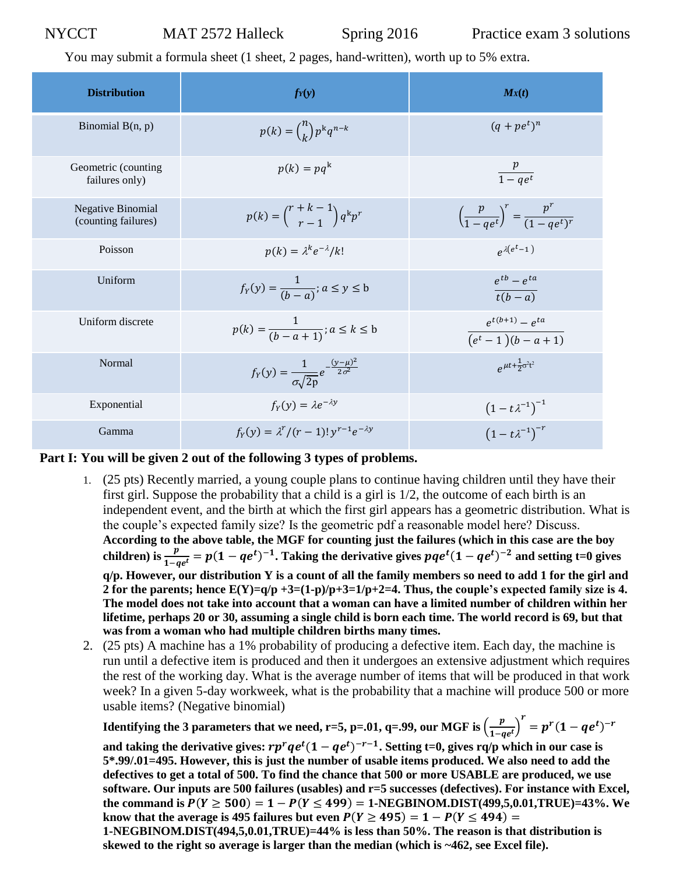You may submit a formula sheet (1 sheet, 2 pages, hand-written), worth up to 5% extra.

| <b>Distribution</b>                             | $f_Y(y)$                                                               | $M_X(t)$                                                        |
|-------------------------------------------------|------------------------------------------------------------------------|-----------------------------------------------------------------|
| Binomial $B(n, p)$                              | $p(k) = {n \choose k} p^{k}q^{n-k}$                                    | $(q + pe^t)^n$                                                  |
| Geometric (counting<br>failures only)           | $p(k) = pq^k$                                                          | $\frac{p}{1 - q e^t}$                                           |
| <b>Negative Binomial</b><br>(counting failures) | $p(k) = {r+k-1 \choose r-1} q^k p^r$                                   | $\left(\frac{p}{1 - a e^t}\right)^r = \frac{p'}{(1 - a e^t)^r}$ |
| Poisson                                         | $p(k) = \lambda^k e^{-\lambda}/k!$                                     | $e^{\lambda(e^t-1)}$                                            |
| Uniform                                         | $f_Y(y) = \frac{1}{(b-a)}$ ; $a \le y \le b$                           | $e^{tb}-e^{ta}$<br>$t(b-a)$                                     |
| Uniform discrete                                | $p(k) = \frac{1}{(b - a + 1)}$ ; $a \le k \le b$                       | $e^{t(b+1)} - e^{ta}$<br>$\overline{(e^t-1)(b-a+1)}$            |
| Normal                                          | $f_Y(y) = \frac{1}{\sigma \sqrt{2p}} e^{-\frac{(y-\mu)^2}{2\sigma^2}}$ | $\rho^{\mu t+\frac{1}{2}\sigma^2t^2}$                           |
| Exponential                                     | $f_Y(y) = \lambda e^{-\lambda y}$                                      | $(1-t\lambda^{-1})^{-1}$                                        |
| Gamma                                           | $f_Y(y) = \lambda^r/(r-1)! y^{r-1} e^{-\lambda y}$                     | $(1-t\lambda^{-1})^{-r}$                                        |

## **Part I: You will be given 2 out of the following 3 types of problems.**

- 1. (25 pts) Recently married, a young couple plans to continue having children until they have their first girl. Suppose the probability that a child is a girl is 1/2, the outcome of each birth is an independent event, and the birth at which the first girl appears has a geometric distribution. What is the couple's expected family size? Is the geometric pdf a reasonable model here? Discuss. **According to the above table, the MGF for counting just the failures (which in this case are the boy**  children) is  $\frac{p}{1-qe^t} = p(1-qe^t)^{-1}$ . Taking the derivative gives  $pqe^t(1-qe^t)^{-2}$  and setting t=0 gives **q/p. However, our distribution Y is a count of all the family members so need to add 1 for the girl and 2 for the parents; hence E(Y)=q/p +3=(1-p)/p+3=1/p+2=4. Thus, the couple's expected family size is 4. The model does not take into account that a woman can have a limited number of children within her lifetime, perhaps 20 or 30, assuming a single child is born each time. The world record is 69, but that was from a woman who had multiple children births many times.**
- 2. (25 pts) A machine has a 1% probability of producing a defective item. Each day, the machine is run until a defective item is produced and then it undergoes an extensive adjustment which requires the rest of the working day. What is the average number of items that will be produced in that work week? In a given 5-day workweek, what is the probability that a machine will produce 500 or more usable items? (Negative binomial)

**Identifying the 3 parameters that we need, r=5, p=.01, q=.99, our MGF is**  $\left(\frac{p}{1-p}\right)$  $\left(\frac{p}{1-qe^{t}}\right)^{r} = p^{r}(1-qe^{t})^{-r}$ 

and taking the derivative gives:  $rp^r q e^t (1 - q e^t)^{-r-1}$ . Setting t=0, gives rq/p which in our case is **5\*.99/.01=495. However, this is just the number of usable items produced. We also need to add the defectives to get a total of 500. To find the chance that 500 or more USABLE are produced, we use software. Our inputs are 500 failures (usables) and r=5 successes (defectives). For instance with Excel,**  the command is  $P(Y \ge 500) = 1 - P(Y \le 499) = 1$ -NEGBINOM.DIST(499,5,0.01,TRUE)=43%. We **know that the average is 495 failures but even**  $P(Y \ge 495) = 1 - P(Y \le 494) =$ 

**1-NEGBINOM.DIST(494,5,0.01,TRUE)=44% is less than 50%. The reason is that distribution is skewed to the right so average is larger than the median (which is ~462, see Excel file).**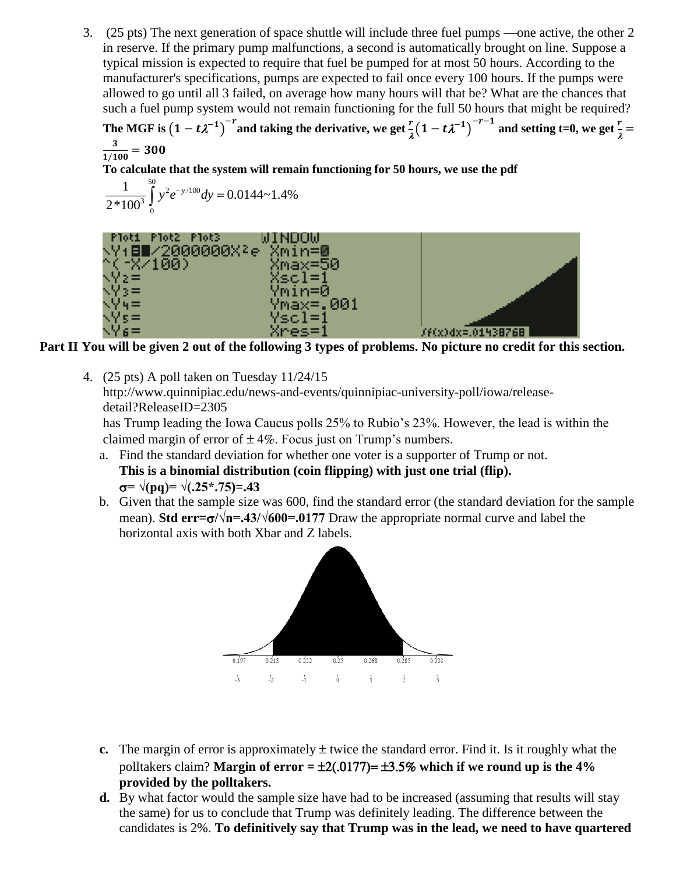3. (25 pts) The next generation of space shuttle will include three fuel pumps —one active, the other 2 in reserve. If the primary pump malfunctions, a second is automatically brought on line. Suppose a typical mission is expected to require that fuel be pumped for at most 50 hours. According to the manufacturer's specifications, pumps are expected to fail once every 100 hours. If the pumps were allowed to go until all 3 failed, on average how many hours will that be? What are the chances that such a fuel pump system would not remain functioning for the full 50 hours that might be required?

The MGF is  $(1-t\lambda^{-1})^{-r}$  and taking the derivative, we get  $\frac{r}{\lambda}(1-t\lambda^{-1})^{-r-1}$  and setting t=0, we get  $\frac{r}{\lambda}$  = 3  $\frac{3}{1/100}$  = 300

**To calculate that the system will remain functioning for 50 hours, we use the pdf**

$$
\frac{1}{2*100^3} \int_{0}^{50} y^2 e^{-y/100} dy = 0.0144 \approx 1.4\%
$$

| Ploti Plot2 Plot3       | WINUUW    |                   |
|-------------------------|-----------|-------------------|
| NY:8∎/2000000X}e Xmin=⊠ |           |                   |
| ^(~X/100)               | Xmax=50   |                   |
| NV≳≡                    | Xscl=1    |                   |
| $\sqrt{2}$ $\approx$    | Ymin=0    |                   |
| $\sqrt{24}$ =           | Ymax=.001 |                   |
| NYs≔                    | Yscl=1    |                   |
| NY 6 =                  | Xres=1    | /f(x)dx=.01438768 |

**Part II You will be given 2 out of the following 3 types of problems. No picture no credit for this section.**

4. (25 pts) A poll taken on Tuesday 11/24/15 http://www.quinnipiac.edu/news-and-events/quinnipiac-university-poll/iowa/releasedetail?ReleaseID=2305 has Trump leading the Iowa Caucus polls 25% to Rubio's 23%. However, the lead is within the

claimed margin of error of  $\pm 4\%$ . Focus just on Trump's numbers.

- a. Find the standard deviation for whether one voter is a supporter of Trump or not. **This is a binomial distribution (coin flipping) with just one trial (flip).**  $\sigma$ =  $\sqrt{(pq)}$ =  $\sqrt{(.25^*.75)}$ = 43
- b. Given that the sample size was 600, find the standard error (the standard deviation for the sample mean). **Std err=** $\sigma/\sqrt{n}$ **=.43/** $\sqrt{600}$ **=.0177** Draw the appropriate normal curve and label the horizontal axis with both Xbar and Z labels.



- **c.** The margin of error is approximately  $\pm$  twice the standard error. Find it. Is it roughly what the polltakers claim? **Margin of error =** ±2(.0177)= ±3.5% **which if we round up is the 4% provided by the polltakers.**
- **d.** By what factor would the sample size have had to be increased (assuming that results will stay the same) for us to conclude that Trump was definitely leading. The difference between the candidates is 2%. **To definitively say that Trump was in the lead, we need to have quartered**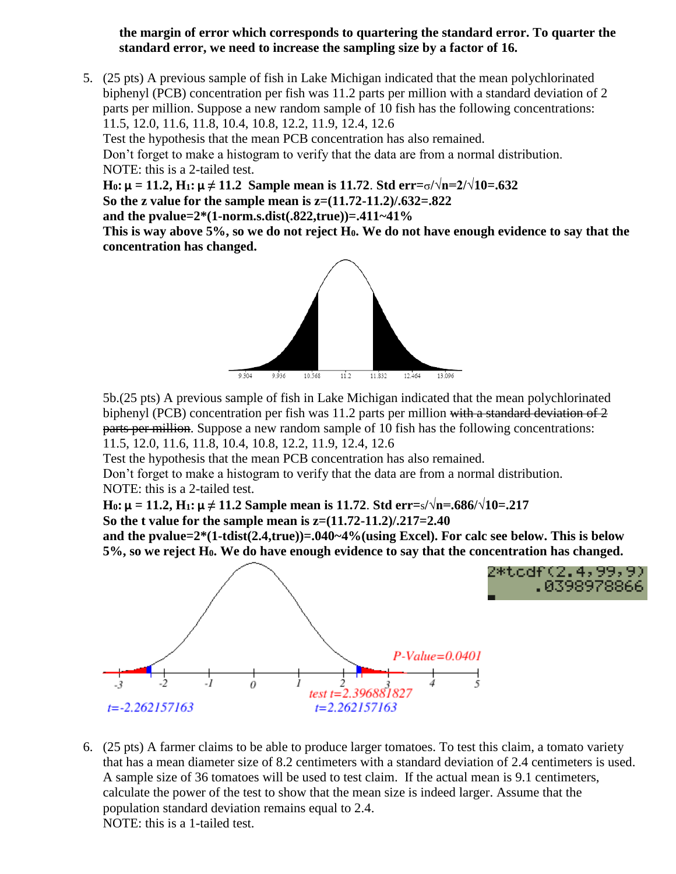## **the margin of error which corresponds to quartering the standard error. To quarter the standard error, we need to increase the sampling size by a factor of 16.**

5. (25 pts) A previous sample of fish in Lake Michigan indicated that the mean polychlorinated biphenyl (PCB) concentration per fish was 11.2 parts per million with a standard deviation of 2 parts per million. Suppose a new random sample of 10 fish has the following concentrations: 11.5, 12.0, 11.6, 11.8, 10.4, 10.8, 12.2, 11.9, 12.4, 12.6

Test the hypothesis that the mean PCB concentration has also remained.

Don't forget to make a histogram to verify that the data are from a normal distribution. NOTE: this is a 2-tailed test.

**H**<sub>0</sub>**:**  $\mu = 11.2$ ,  $H_1$ **:**  $\mu \neq 11.2$  Sample mean is 11.72. Std err= $\sigma/\sqrt{n} = 2/\sqrt{10} = .632$ **So the z value for the sample mean is z=(11.72-11.2)/.632=.822** 

**and the pvalue=2\*(1-norm.s.dist(.822,true))=.411~41%**

**This is way above 5%, so we do not reject H0. We do not have enough evidence to say that the concentration has changed.**



5b.(25 pts) A previous sample of fish in Lake Michigan indicated that the mean polychlorinated biphenyl (PCB) concentration per fish was 11.2 parts per million with a standard deviation of 2 parts per million. Suppose a new random sample of 10 fish has the following concentrations: 11.5, 12.0, 11.6, 11.8, 10.4, 10.8, 12.2, 11.9, 12.4, 12.6

Test the hypothesis that the mean PCB concentration has also remained.

Don't forget to make a histogram to verify that the data are from a normal distribution. NOTE: this is a 2-tailed test.

**H**<sub>0</sub>**:**  $\mu$  = 11.2, **H**<sub>1</sub>**:**  $\mu \neq 11.2$  Sample mean is 11.72. Std err=s/ $\sqrt{\pi}$ =.686/ $\sqrt{10}$ =.217 **So the t value for the sample mean is z=(11.72-11.2)/.217=2.40**

**and the pvalue=2\*(1-tdist(2.4,true))=.040~4%(using Excel). For calc see below. This is below 5%, so we reject H0. We do have enough evidence to say that the concentration has changed.**



6. (25 pts) A farmer claims to be able to produce larger tomatoes. To test this claim, a tomato variety that has a mean diameter size of 8.2 centimeters with a standard deviation of 2.4 centimeters is used. A sample size of 36 tomatoes will be used to test claim. If the actual mean is 9.1 centimeters, calculate the power of the test to show that the mean size is indeed larger. Assume that the population standard deviation remains equal to 2.4. NOTE: this is a 1-tailed test.